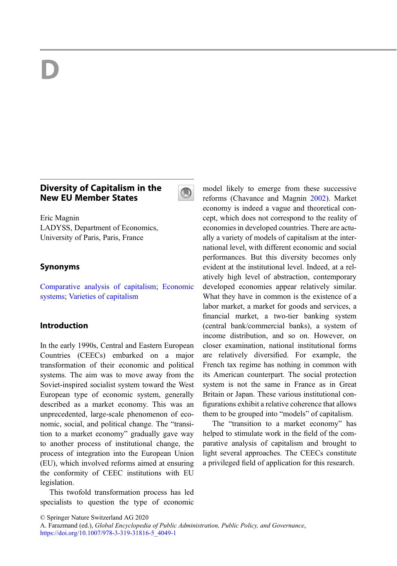# D

## Diversity of Capitalism in the New EU Member States



Eric Magnin LADYSS, Department of Economics, University of Paris, Paris, France

## Synonyms

[Comparative analysis of capitalism](http://link.springer.com/search?facet-eisbn=978-3-319-31816-5&facet-content-type=ReferenceWorkEntry&query=Comparative analysis of capitalism); [Economic](http://link.springer.com/search?facet-eisbn=978-3-319-31816-5&facet-content-type=ReferenceWorkEntry&query=Economic systems) [systems](http://link.springer.com/search?facet-eisbn=978-3-319-31816-5&facet-content-type=ReferenceWorkEntry&query=Economic systems); [Varieties of capitalism](http://link.springer.com/search?facet-eisbn=978-3-319-31816-5&facet-content-type=ReferenceWorkEntry&query=Varieties of capitalism)

## Introduction

In the early 1990s, Central and Eastern European Countries (CEECs) embarked on a major transformation of their economic and political systems. The aim was to move away from the Soviet-inspired socialist system toward the West European type of economic system, generally described as a market economy. This was an unprecedented, large-scale phenomenon of economic, social, and political change. The "transition to a market economy" gradually gave way to another process of institutional change, the process of integration into the European Union (EU), which involved reforms aimed at ensuring the conformity of CEEC institutions with EU legislation.

This twofold transformation process has led specialists to question the type of economic model likely to emerge from these successive reforms (Chavance and Magnin [2002\)](#page-6-0). Market economy is indeed a vague and theoretical concept, which does not correspond to the reality of economies in developed countries. There are actually a variety of models of capitalism at the international level, with different economic and social performances. But this diversity becomes only evident at the institutional level. Indeed, at a relatively high level of abstraction, contemporary developed economies appear relatively similar. What they have in common is the existence of a labor market, a market for goods and services, a financial market, a two-tier banking system (central bank/commercial banks), a system of income distribution, and so on. However, on closer examination, national institutional forms are relatively diversified. For example, the French tax regime has nothing in common with its American counterpart. The social protection system is not the same in France as in Great Britain or Japan. These various institutional configurations exhibit a relative coherence that allows them to be grouped into "models" of capitalism.

The "transition to a market economy" has helped to stimulate work in the field of the comparative analysis of capitalism and brought to light several approaches. The CEECs constitute a privileged field of application for this research.

<sup>©</sup> Springer Nature Switzerland AG 2020

A. Farazmand (ed.), Global Encyclopedia of Public Administration, Public Policy, and Governance, [https://doi.org/10.1007/978-3-319-31816-5\\_4049-1](https://doi.org/10.1007/978-3-319-31816-5_4049-1)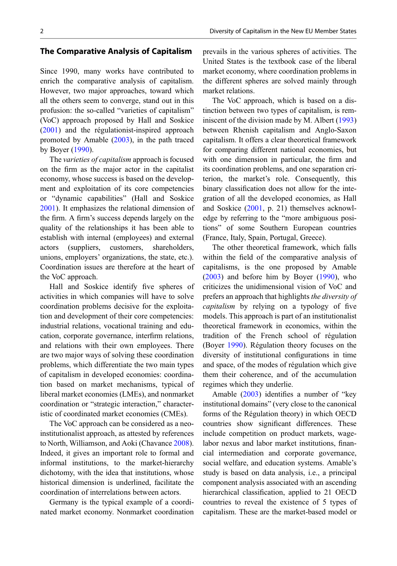#### The Comparative Analysis of Capitalism

Since 1990, many works have contributed to enrich the comparative analysis of capitalism. However, two major approaches, toward which all the others seem to converge, stand out in this profusion: the so-called "varieties of capitalism" (VoC) approach proposed by Hall and Soskice [\(2001](#page-6-0)) and the régulationist-inspired approach promoted by Amable ([2003\)](#page-6-0), in the path traced by Boyer ([1990\)](#page-6-0).

The *varieties of capitalism* approach is focused on the firm as the major actor in the capitalist economy, whose success is based on the development and exploitation of its core competencies or "dynamic capabilities" (Hall and Soskice [2001\)](#page-6-0). It emphasizes the relational dimension of the firm. A firm's success depends largely on the quality of the relationships it has been able to establish with internal (employees) and external actors (suppliers, customers, shareholders, unions, employers' organizations, the state, etc.). Coordination issues are therefore at the heart of the VoC approach.

Hall and Soskice identify five spheres of activities in which companies will have to solve coordination problems decisive for the exploitation and development of their core competencies: industrial relations, vocational training and education, corporate governance, interfirm relations, and relations with their own employees. There are two major ways of solving these coordination problems, which differentiate the two main types of capitalism in developed economies: coordination based on market mechanisms, typical of liberal market economies (LMEs), and nonmarket coordination or "strategic interaction," characteristic of coordinated market economies (CMEs).

The VoC approach can be considered as a neoinstitutionalist approach, as attested by references to North, Williamson, and Aoki (Chavance [2008\)](#page-6-0). Indeed, it gives an important role to formal and informal institutions, to the market-hierarchy dichotomy, with the idea that institutions, whose historical dimension is underlined, facilitate the coordination of interrelations between actors.

Germany is the typical example of a coordinated market economy. Nonmarket coordination prevails in the various spheres of activities. The United States is the textbook case of the liberal market economy, where coordination problems in the different spheres are solved mainly through market relations.

The VoC approach, which is based on a distinction between two types of capitalism, is reminiscent of the division made by M. Albert [\(1993](#page-6-0)) between Rhenish capitalism and Anglo-Saxon capitalism. It offers a clear theoretical framework for comparing different national economies, but with one dimension in particular, the firm and its coordination problems, and one separation criterion, the market's role. Consequently, this binary classification does not allow for the integration of all the developed economies, as Hall and Soskice [\(2001](#page-6-0), p. 21) themselves acknowledge by referring to the "more ambiguous positions" of some Southern European countries (France, Italy, Spain, Portugal, Greece).

The other theoretical framework, which falls within the field of the comparative analysis of capitalisms, is the one proposed by Amable [\(2003](#page-6-0)) and before him by Boyer ([1990\)](#page-6-0), who criticizes the unidimensional vision of VoC and prefers an approach that highlights the diversity of capitalism by relying on a typology of five models. This approach is part of an institutionalist theoretical framework in economics, within the tradition of the French school of régulation (Boyer [1990](#page-6-0)). Régulation theory focuses on the diversity of institutional configurations in time and space, of the modes of régulation which give them their coherence, and of the accumulation regimes which they underlie.

Amable [\(2003](#page-6-0)) identifies a number of "key institutional domains" (very close to the canonical forms of the Régulation theory) in which OECD countries show significant differences. These include competition on product markets, wagelabor nexus and labor market institutions, financial intermediation and corporate governance, social welfare, and education systems. Amable's study is based on data analysis, i.e., a principal component analysis associated with an ascending hierarchical classification, applied to 21 OECD countries to reveal the existence of 5 types of capitalism. These are the market-based model or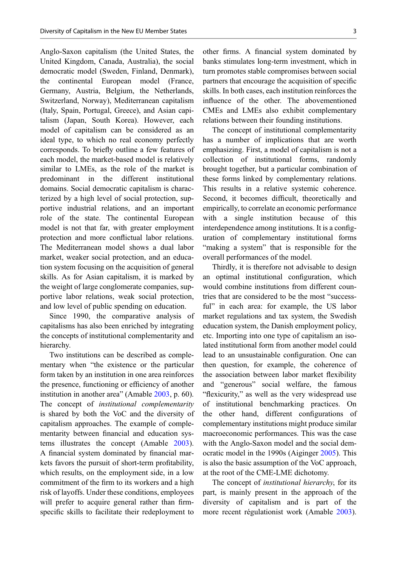Anglo-Saxon capitalism (the United States, the United Kingdom, Canada, Australia), the social democratic model (Sweden, Finland, Denmark), the continental European model (France, Germany, Austria, Belgium, the Netherlands, Switzerland, Norway), Mediterranean capitalism (Italy, Spain, Portugal, Greece), and Asian capitalism (Japan, South Korea). However, each model of capitalism can be considered as an ideal type, to which no real economy perfectly corresponds. To briefly outline a few features of each model, the market-based model is relatively similar to LMEs, as the role of the market is predominant in the different institutional domains. Social democratic capitalism is characterized by a high level of social protection, supportive industrial relations, and an important role of the state. The continental European model is not that far, with greater employment protection and more conflictual labor relations. The Mediterranean model shows a dual labor market, weaker social protection, and an education system focusing on the acquisition of general skills. As for Asian capitalism, it is marked by the weight of large conglomerate companies, supportive labor relations, weak social protection, and low level of public spending on education.

Since 1990, the comparative analysis of capitalisms has also been enriched by integrating the concepts of institutional complementarity and hierarchy.

Two institutions can be described as complementary when "the existence or the particular form taken by an institution in one area reinforces the presence, functioning or efficiency of another institution in another area" (Amable [2003,](#page-6-0) p. 60). The concept of institutional complementarity is shared by both the VoC and the diversity of capitalism approaches. The example of complementarity between financial and education systems illustrates the concept (Amable [2003\)](#page-6-0). A financial system dominated by financial markets favors the pursuit of short-term profitability, which results, on the employment side, in a low commitment of the firm to its workers and a high risk of layoffs. Under these conditions, employees will prefer to acquire general rather than firmspecific skills to facilitate their redeployment to

other firms. A financial system dominated by banks stimulates long-term investment, which in turn promotes stable compromises between social partners that encourage the acquisition of specific skills. In both cases, each institution reinforces the influence of the other. The abovementioned CMEs and LMEs also exhibit complementary relations between their founding institutions.

The concept of institutional complementarity has a number of implications that are worth emphasizing. First, a model of capitalism is not a collection of institutional forms, randomly brought together, but a particular combination of these forms linked by complementary relations. This results in a relative systemic coherence. Second, it becomes difficult, theoretically and empirically, to correlate an economic performance with a single institution because of this interdependence among institutions. It is a configuration of complementary institutional forms "making a system" that is responsible for the overall performances of the model.

Thirdly, it is therefore not advisable to design an optimal institutional configuration, which would combine institutions from different countries that are considered to be the most "successful" in each area: for example, the US labor market regulations and tax system, the Swedish education system, the Danish employment policy, etc. Importing into one type of capitalism an isolated institutional form from another model could lead to an unsustainable configuration. One can then question, for example, the coherence of the association between labor market flexibility and "generous" social welfare, the famous "flexicurity," as well as the very widespread use of institutional benchmarking practices. On the other hand, different configurations of complementary institutions might produce similar macroeconomic performances. This was the case with the Anglo-Saxon model and the social democratic model in the 1990s (Aiginger [2005\)](#page-6-0). This is also the basic assumption of the VoC approach, at the root of the CME-LME dichotomy.

The concept of institutional hierarchy, for its part, is mainly present in the approach of the diversity of capitalism and is part of the more recent régulationist work (Amable [2003\)](#page-6-0).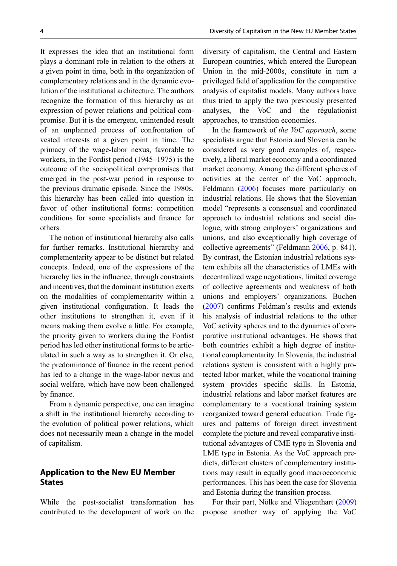It expresses the idea that an institutional form plays a dominant role in relation to the others at a given point in time, both in the organization of complementary relations and in the dynamic evolution of the institutional architecture. The authors recognize the formation of this hierarchy as an expression of power relations and political compromise. But it is the emergent, unintended result of an unplanned process of confrontation of vested interests at a given point in time. The primacy of the wage-labor nexus, favorable to workers, in the Fordist period (1945–1975) is the outcome of the sociopolitical compromises that emerged in the post-war period in response to the previous dramatic episode. Since the 1980s, this hierarchy has been called into question in favor of other institutional forms: competition conditions for some specialists and finance for others.

The notion of institutional hierarchy also calls for further remarks. Institutional hierarchy and complementarity appear to be distinct but related concepts. Indeed, one of the expressions of the hierarchy lies in the influence, through constraints and incentives, that the dominant institution exerts on the modalities of complementarity within a given institutional configuration. It leads the other institutions to strengthen it, even if it means making them evolve a little. For example, the priority given to workers during the Fordist period has led other institutional forms to be articulated in such a way as to strengthen it. Or else, the predominance of finance in the recent period has led to a change in the wage-labor nexus and social welfare, which have now been challenged by finance.

From a dynamic perspective, one can imagine a shift in the institutional hierarchy according to the evolution of political power relations, which does not necessarily mean a change in the model of capitalism.

## Application to the New EU Member States

While the post-socialist transformation has contributed to the development of work on the diversity of capitalism, the Central and Eastern European countries, which entered the European Union in the mid-2000s, constitute in turn a privileged field of application for the comparative analysis of capitalist models. Many authors have thus tried to apply the two previously presented analyses, the VoC and the régulationist approaches, to transition economies.

In the framework of the VoC approach, some specialists argue that Estonia and Slovenia can be considered as very good examples of, respectively, a liberal market economy and a coordinated market economy. Among the different spheres of activities at the center of the VoC approach, Feldmann ([2006\)](#page-6-0) focuses more particularly on industrial relations. He shows that the Slovenian model "represents a consensual and coordinated approach to industrial relations and social dialogue, with strong employers' organizations and unions, and also exceptionally high coverage of collective agreements" (Feldmann [2006](#page-6-0), p. 841). By contrast, the Estonian industrial relations system exhibits all the characteristics of LMEs with decentralized wage negotiations, limited coverage of collective agreements and weakness of both unions and employers' organizations. Buchen [\(2007](#page-6-0)) confirms Feldman's results and extends his analysis of industrial relations to the other VoC activity spheres and to the dynamics of comparative institutional advantages. He shows that both countries exhibit a high degree of institutional complementarity. In Slovenia, the industrial relations system is consistent with a highly protected labor market, while the vocational training system provides specific skills. In Estonia, industrial relations and labor market features are complementary to a vocational training system reorganized toward general education. Trade figures and patterns of foreign direct investment complete the picture and reveal comparative institutional advantages of CME type in Slovenia and LME type in Estonia. As the VoC approach predicts, different clusters of complementary institutions may result in equally good macroeconomic performances. This has been the case for Slovenia and Estonia during the transition process.

For their part, Nölke and Vliegenthart [\(2009](#page-6-0)) propose another way of applying the VoC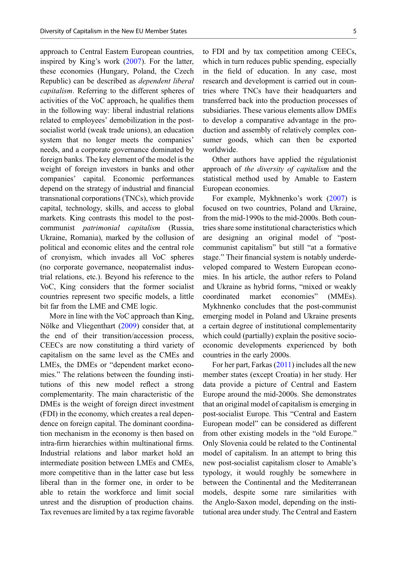approach to Central Eastern European countries, inspired by King's work ([2007\)](#page-6-0). For the latter, these economies (Hungary, Poland, the Czech Republic) can be described as dependent liberal capitalism. Referring to the different spheres of activities of the VoC approach, he qualifies them in the following way: liberal industrial relations related to employees' demobilization in the postsocialist world (weak trade unions), an education system that no longer meets the companies' needs, and a corporate governance dominated by foreign banks. The key element of the model is the weight of foreign investors in banks and other companies' capital. Economic performances depend on the strategy of industrial and financial transnational corporations (TNCs), which provide capital, technology, skills, and access to global markets. King contrasts this model to the postcommunist patrimonial capitalism (Russia, Ukraine, Romania), marked by the collusion of political and economic elites and the central role of cronyism, which invades all VoC spheres (no corporate governance, neopaternalist industrial relations, etc.). Beyond his reference to the VoC, King considers that the former socialist countries represent two specific models, a little bit far from the LME and CME logic.

More in line with the VoC approach than King, Nölke and Vliegenthart ([2009\)](#page-6-0) consider that, at the end of their transition/accession process, CEECs are now constituting a third variety of capitalism on the same level as the CMEs and LMEs, the DMEs or "dependent market economies." The relations between the founding institutions of this new model reflect a strong complementarity. The main characteristic of the DMEs is the weight of foreign direct investment (FDI) in the economy, which creates a real dependence on foreign capital. The dominant coordination mechanism in the economy is then based on intra-firm hierarchies within multinational firms. Industrial relations and labor market hold an intermediate position between LMEs and CMEs, more competitive than in the latter case but less liberal than in the former one, in order to be able to retain the workforce and limit social unrest and the disruption of production chains. Tax revenues are limited by a tax regime favorable

to FDI and by tax competition among CEECs, which in turn reduces public spending, especially in the field of education. In any case, most research and development is carried out in countries where TNCs have their headquarters and transferred back into the production processes of subsidiaries. These various elements allow DMEs to develop a comparative advantage in the production and assembly of relatively complex consumer goods, which can then be exported worldwide.

Other authors have applied the régulationist approach of the diversity of capitalism and the statistical method used by Amable to Eastern European economies.

For example, Mykhnenko's work ([2007\)](#page-6-0) is focused on two countries, Poland and Ukraine, from the mid-1990s to the mid-2000s. Both countries share some institutional characteristics which are designing an original model of "postcommunist capitalism" but still "at a formative stage." Their financial system is notably underdeveloped compared to Western European economies. In his article, the author refers to Poland and Ukraine as hybrid forms, "mixed or weakly coordinated market economies" (MMEs). Mykhnenko concludes that the post-communist emerging model in Poland and Ukraine presents a certain degree of institutional complementarity which could (partially) explain the positive socioeconomic developments experienced by both countries in the early 2000s.

For her part, Farkas [\(2011](#page-6-0)) includes all the new member states (except Croatia) in her study. Her data provide a picture of Central and Eastern Europe around the mid-2000s. She demonstrates that an original model of capitalism is emerging in post-socialist Europe. This "Central and Eastern European model" can be considered as different from other existing models in the "old Europe." Only Slovenia could be related to the Continental model of capitalism. In an attempt to bring this new post-socialist capitalism closer to Amable's typology, it would roughly be somewhere in between the Continental and the Mediterranean models, despite some rare similarities with the Anglo-Saxon model, depending on the institutional area under study. The Central and Eastern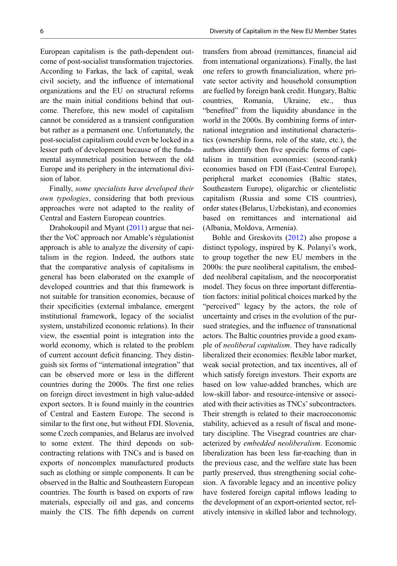European capitalism is the path-dependent outcome of post-socialist transformation trajectories. According to Farkas, the lack of capital, weak civil society, and the influence of international organizations and the EU on structural reforms are the main initial conditions behind that outcome. Therefore, this new model of capitalism cannot be considered as a transient configuration but rather as a permanent one. Unfortunately, the post-socialist capitalism could even be locked in a lesser path of development because of the fundamental asymmetrical position between the old Europe and its periphery in the international division of labor.

Finally, some specialists have developed their own typologies, considering that both previous approaches were not adapted to the reality of Central and Eastern European countries.

Drahokoupil and Myant [\(2011\)](#page-6-0) argue that neither the VoC approach nor Amable's régulationist approach is able to analyze the diversity of capitalism in the region. Indeed, the authors state that the comparative analysis of capitalisms in general has been elaborated on the example of developed countries and that this framework is not suitable for transition economies, because of their specificities (external imbalance, emergent institutional framework, legacy of the socialist system, unstabilized economic relations). In their view, the essential point is integration into the world economy, which is related to the problem of current account deficit financing. They distinguish six forms of "international integration" that can be observed more or less in the different countries during the 2000s. The first one relies on foreign direct investment in high value-added export sectors. It is found mainly in the countries of Central and Eastern Europe. The second is similar to the first one, but without FDI. Slovenia, some Czech companies, and Belarus are involved to some extent. The third depends on subcontracting relations with TNCs and is based on exports of noncomplex manufactured products such as clothing or simple components. It can be observed in the Baltic and Southeastern European countries. The fourth is based on exports of raw materials, especially oil and gas, and concerns mainly the CIS. The fifth depends on current

transfers from abroad (remittances, financial aid from international organizations). Finally, the last one refers to growth financialization, where private sector activity and household consumption are fuelled by foreign bank credit. Hungary, Baltic countries, Romania, Ukraine, etc., thus "benefited" from the liquidity abundance in the world in the 2000s. By combining forms of international integration and institutional characteristics (ownership forms, role of the state, etc.), the authors identify then five specific forms of capitalism in transition economies: (second-rank) economies based on FDI (East-Central Europe), peripheral market economies (Baltic states, Southeastern Europe), oligarchic or clientelistic capitalism (Russia and some CIS countries), order states (Belarus, Uzbekistan), and economies based on remittances and international aid (Albania, Moldova, Armenia).

Bohle and Greskovits [\(2012](#page-6-0)) also propose a distinct typology, inspired by K. Polanyi's work, to group together the new EU members in the 2000s: the pure neoliberal capitalism, the embedded neoliberal capitalism, and the neocorporatist model. They focus on three important differentiation factors: initial political choices marked by the "perceived" legacy by the actors, the role of uncertainty and crises in the evolution of the pursued strategies, and the influence of transnational actors. The Baltic countries provide a good example of neoliberal capitalism. They have radically liberalized their economies: flexible labor market, weak social protection, and tax incentives, all of which satisfy foreign investors. Their exports are based on low value-added branches, which are low-skill labor- and resource-intensive or associated with their activities as TNCs'subcontractors. Their strength is related to their macroeconomic stability, achieved as a result of fiscal and monetary discipline. The Visegrad countries are characterized by embedded neoliberalism. Economic liberalization has been less far-reaching than in the previous case, and the welfare state has been partly preserved, thus strengthening social cohesion. A favorable legacy and an incentive policy have fostered foreign capital inflows leading to the development of an export-oriented sector, relatively intensive in skilled labor and technology,